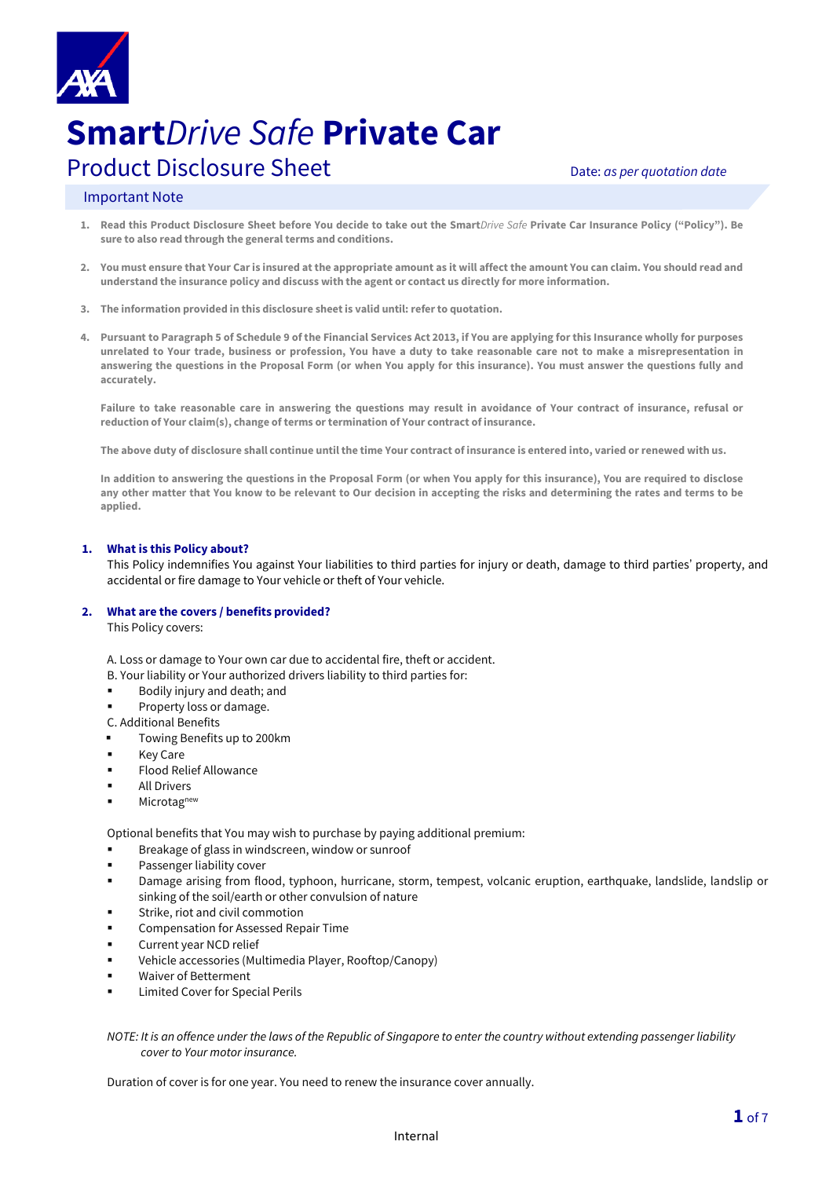

# **Smart***Drive Safe* **Private Car** Product Disclosure Sheet **Disclosure Sheet** Date: *as per quotation date*

# Important Note

- **1. Read this Product Disclosure Sheet before You decide to take out the Smart***Drive Safe* **Private Car Insurance Policy ("Policy"). Be sure to also read through the general terms and conditions.**
- **2. You must ensure that Your Caris insured at the appropriate amount as it will affect the amount You can claim. You should read and understand the insurance policy and discuss with the agent or contact us directly for more information.**
- **3. The information provided in this disclosure sheet is valid until:refer to quotation.**
- **4. Pursuant to Paragraph 5 of Schedule 9 of the Financial Services Act 2013, if You are applying for this Insurance wholly for purposes unrelated to Your trade, business or profession, You have a duty to take reasonable care not to make a misrepresentation in answering the questions in the Proposal Form (or when You apply for this insurance). You must answer the questions fully and accurately.**

**Failure to take reasonable care in answering the questions may result in avoidance of Your contract of insurance, refusal or reduction of Your claim(s), change of terms or termination of Your contract of insurance.** 

**The above duty of disclosure shall continue until the time Your contract of insurance is entered into, varied or renewed with us.** 

**In addition to answering the questions in the Proposal Form (or when You apply for this insurance), You are required to disclose any other matter that You know to be relevant to Our decision in accepting the risks and determining the rates and terms to be applied.**

#### **1. What is this Policy about? with us any of the information given in the Proposal Form (or when You applied for this insurance) is inaccurate or has changed.**

This Policy indemnifies You against Your liabilities to third parties for injury or death, damage to third parties' property, and accidental or fire damage to Your vehicle or theft of Your vehicle.

#### **2. What are the covers / benefits provided?**

This Policy covers:

A. Loss or damage to Your own car due to accidental fire, theft or accident.

- B. Your liability or Your authorized drivers liability to third parties for:
- Bodily injury and death; and
- Property loss or damage.
- C. Additional Benefits
- Towing Benefits up to 200km
- **Key Care**
- **Flood Relief Allowance**
- **All Drivers**
- Microtag<sup>new</sup>

Optional benefits that You may wish to purchase by paying additional premium:

- Breakage of glass in windscreen, window or sunroof
- Passenger liability cover
- Damage arising from flood, typhoon, hurricane, storm, tempest, volcanic eruption, earthquake, landslide, landslip or sinking of the soil/earth or other convulsion of nature
- Strike, riot and civil commotion
- Compensation for Assessed Repair Time
- Current year NCD relief
- Vehicle accessories (Multimedia Player, Rooftop/Canopy)
- **Waiver of Betterment**
- **Limited Cover for Special Perils**

*NOTE: It is an offence under the laws of the Republic of Singapore to enter the country without extending passenger liability cover to Your motor insurance.*

Duration of cover is for one year. You need to renew the insurance cover annually.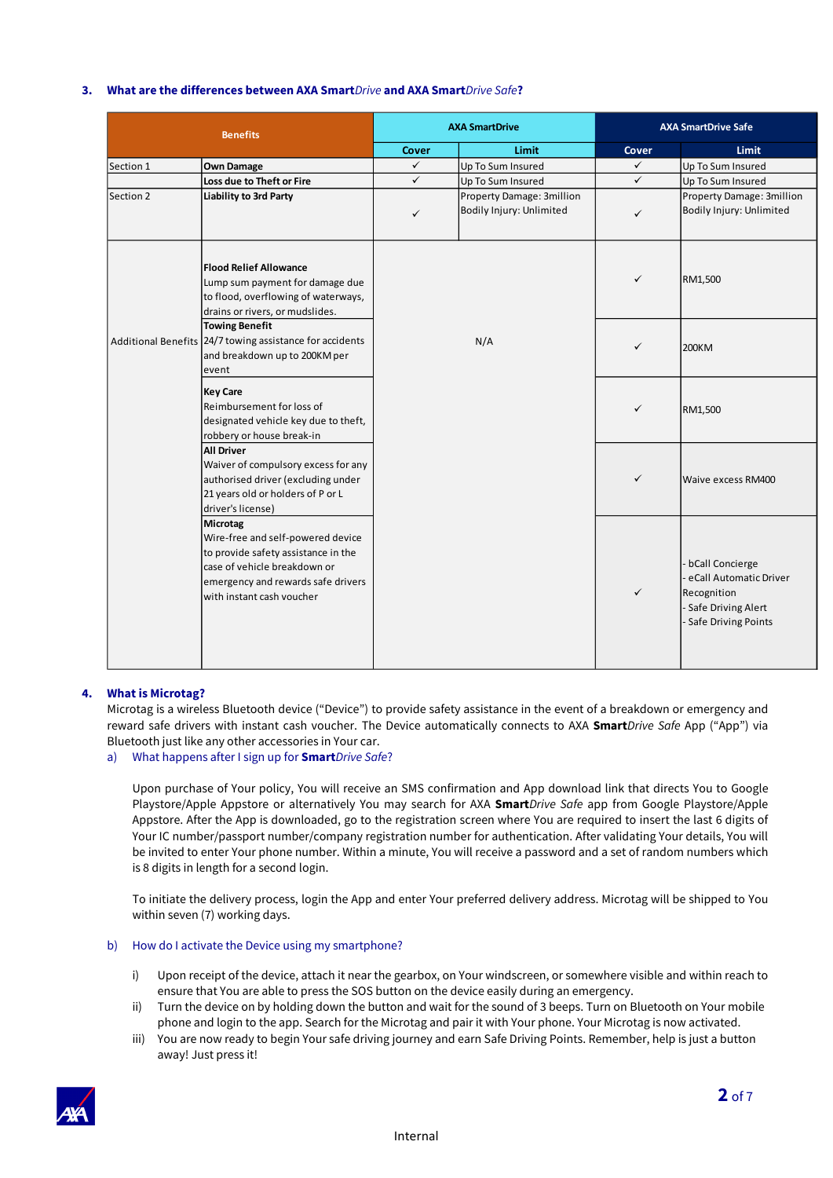# **3. What are the differences between AXA Smart***Drive* **and AXA Smart***Drive Safe***?**

| <b>Benefits</b> |                                                                                                                                                                                         | <b>AXA SmartDrive</b> |                           | <b>AXA SmartDrive Safe</b> |                                                                                                       |
|-----------------|-----------------------------------------------------------------------------------------------------------------------------------------------------------------------------------------|-----------------------|---------------------------|----------------------------|-------------------------------------------------------------------------------------------------------|
|                 |                                                                                                                                                                                         | <b>Cover</b>          | Limit                     | <b>Cover</b>               | Limit                                                                                                 |
| Section 1       | <b>Own Damage</b>                                                                                                                                                                       | $\checkmark$          | Up To Sum Insured         | $\checkmark$               | Up To Sum Insured                                                                                     |
|                 | Loss due to Theft or Fire                                                                                                                                                               | $\checkmark$          | Up To Sum Insured         | $\checkmark$               | Up To Sum Insured                                                                                     |
| Section 2       | <b>Liability to 3rd Party</b>                                                                                                                                                           |                       | Property Damage: 3million |                            | Property Damage: 3million                                                                             |
|                 |                                                                                                                                                                                         | $\checkmark$          | Bodily Injury: Unlimited  | $\checkmark$               | Bodily Injury: Unlimited                                                                              |
|                 | <b>Flood Relief Allowance</b><br>Lump sum payment for damage due<br>to flood, overflowing of waterways,<br>drains or rivers, or mudslides.                                              |                       |                           | $\checkmark$               | RM1,500                                                                                               |
|                 | <b>Towing Benefit</b><br>Additional Benefits 24/7 towing assistance for accidents<br>and breakdown up to 200KM per<br>event                                                             | N/A                   |                           | $\checkmark$               | 200KM                                                                                                 |
|                 | <b>Key Care</b><br>Reimbursement for loss of<br>designated vehicle key due to theft,<br>robbery or house break-in                                                                       |                       |                           | $\checkmark$               | RM1,500                                                                                               |
|                 | <b>All Driver</b><br>Waiver of compulsory excess for any<br>authorised driver (excluding under<br>21 years old or holders of P or L<br>driver's license)                                |                       |                           | $\checkmark$               | Waive excess RM400                                                                                    |
|                 | Microtag<br>Wire-free and self-powered device<br>to provide safety assistance in the<br>case of vehicle breakdown or<br>emergency and rewards safe drivers<br>with instant cash voucher |                       |                           | ✓                          | bCall Concierge<br>eCall Automatic Driver<br>Recognition<br>Safe Driving Alert<br>Safe Driving Points |

# **4. What is Microtag?**

Microtag is a wireless Bluetooth device ("Device") to provide safety assistance in the event of a breakdown or emergency and reward safe drivers with instant cash voucher. The Device automatically connects to AXA **Smart***Drive Safe* App ("App") via Bluetooth just like any other accessories in Your car.

# a) What happens after I sign up for **Smart***Drive Safe*?

Upon purchase of Your policy, You will receive an SMS confirmation and App download link that directs You to Google Playstore/Apple Appstore or alternatively You may search for AXA **Smart***Drive Safe* app from Google Playstore/Apple Appstore. After the App is downloaded, go to the registration screen where You are required to insert the last 6 digits of Your IC number/passport number/company registration number for authentication. After validating Your details, You will be invited to enter Your phone number. Within a minute, You will receive a password and a set of random numbers which is 8 digits in length for a second login.

To initiate the delivery process, login the App and enter Your preferred delivery address. Microtag will be shipped to You within seven (7) working days.

### b) How do I activate the Device using my smartphone?

- i) Upon receipt of the device, attach it near the gearbox, on Your windscreen, or somewhere visible and within reach to ensure that You are able to press the SOS button on the device easily during an emergency.
- ii) Turn the device on by holding down the button and wait for the sound of 3 beeps. Turn on Bluetooth on Your mobile phone and login to the app. Search for the Microtag and pair it with Your phone. Your Microtag is now activated.
- iii) You are now ready to begin Your safe driving journey and earn Safe Driving Points. Remember, help is just a button away! Just press it!



 $\overline{\phantom{a}}$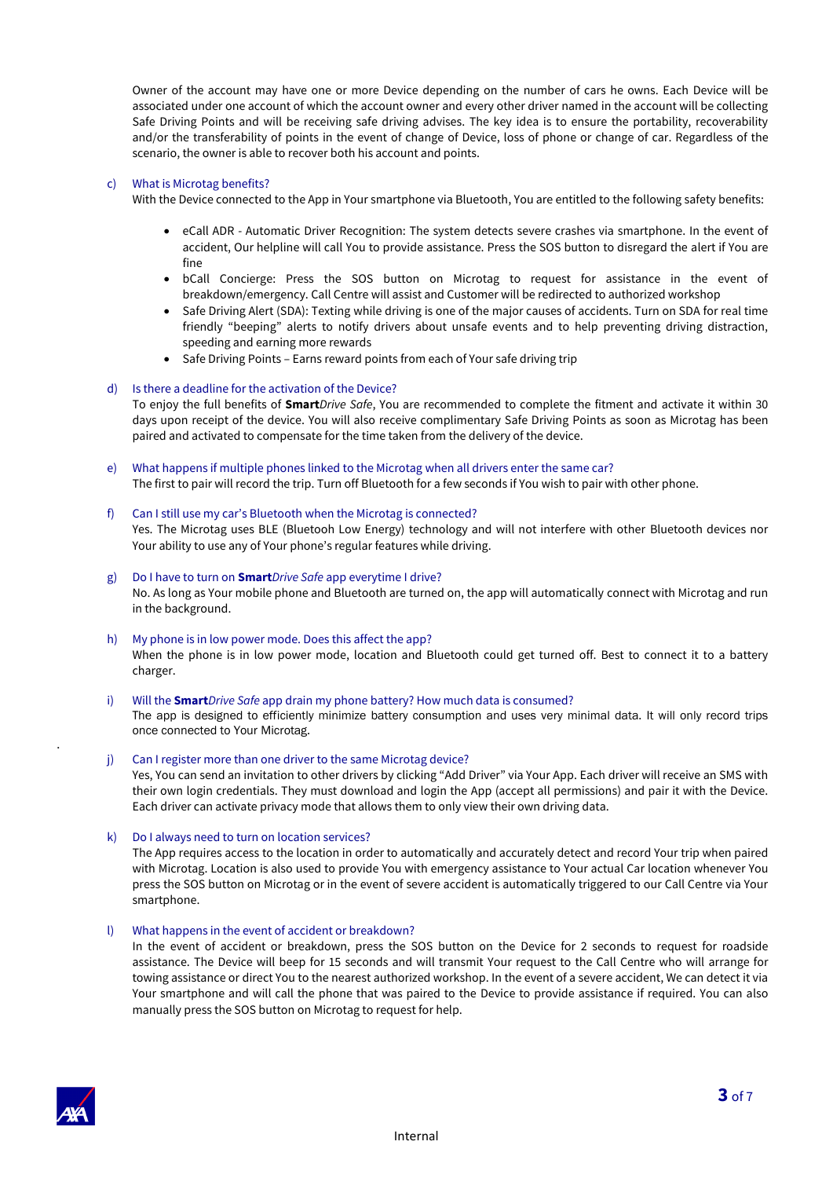Owner of the account may have one or more Device depending on the number of cars he owns. Each Device will be associated under one account of which the account owner and every other driver named in the account will be collecting Safe Driving Points and will be receiving safe driving advises. The key idea is to ensure the portability, recoverability and/or the transferability of points in the event of change of Device, loss of phone or change of car. Regardless of the scenario, the owner is able to recover both his account and points.

### c) What is Microtag benefits?

With the Device connected to the App in Your smartphone via Bluetooth, You are entitled to the following safety benefits:

- eCall ADR Automatic Driver Recognition: The system detects severe crashes via smartphone. In the event of accident, Our helpline will call You to provide assistance. Press the SOS button to disregard the alert if You are fine
- bCall Concierge: Press the SOS button on Microtag to request for assistance in the event of breakdown/emergency. Call Centre will assist and Customer will be redirected to authorized workshop
- Safe Driving Alert (SDA): Texting while driving is one of the major causes of accidents. Turn on SDA for real time friendly "beeping" alerts to notify drivers about unsafe events and to help preventing driving distraction, speeding and earning more rewards
- Safe Driving Points Earns reward points from each of Your safe driving trip

#### d) Is there a deadline for the activation of the Device?

To enjoy the full benefits of **Smart***Drive Safe*, You are recommended to complete the fitment and activate it within 30 days upon receipt of the device. You will also receive complimentary Safe Driving Points as soon as Microtag has been paired and activated to compensate for the time taken from the delivery of the device.

- e) What happens if multiple phones linked to the Microtag when all drivers enter the same car? The first to pair will record the trip. Turn off Bluetooth for a few seconds if You wish to pair with other phone.
- f) Can I still use my car's Bluetooth when the Microtag is connected? Yes. The Microtag uses BLE (Bluetooh Low Energy) technology and will not interfere with other Bluetooth devices nor Your ability to use any of Your phone's regular features while driving.

### g) Do I have to turn on **Smart***Drive Safe* app everytime I drive? No. As long as Your mobile phone and Bluetooth are turned on, the app will automatically connect with Microtag and run in the background.

h) My phone is in low power mode. Does this affect the app? When the phone is in low power mode, location and Bluetooth could get turned off. Best to connect it to a battery charger.

# i) Will the **Smart***Drive Safe* app drain my phone battery? How much data is consumed?

The app is designed to efficiently minimize battery consumption and uses very minimal data. It will only record trips once connected to Your Microtag.

#### j) Can I register more than one driver to the same Microtag device?

Yes, You can send an invitation to other drivers by clicking "Add Driver" via Your App. Each driver will receive an SMS with their own login credentials. They must download and login the App (accept all permissions) and pair it with the Device. Each driver can activate privacy mode that allows them to only view their own driving data.

k) Do I always need to turn on location services?

The App requires access to the location in order to automatically and accurately detect and record Your trip when paired with Microtag. Location is also used to provide You with emergency assistance to Your actual Car location whenever You press the SOS button on Microtag or in the event of severe accident is automatically triggered to our Call Centre via Your smartphone.

#### l) What happens in the event of accident or breakdown?

In the event of accident or breakdown, press the SOS button on the Device for 2 seconds to request for roadside assistance. The Device will beep for 15 seconds and will transmit Your request to the Call Centre who will arrange for towing assistance or direct You to the nearest authorized workshop. In the event of a severe accident, We can detect it via Your smartphone and will call the phone that was paired to the Device to provide assistance if required. You can also manually press the SOS button on Microtag to request for help.



.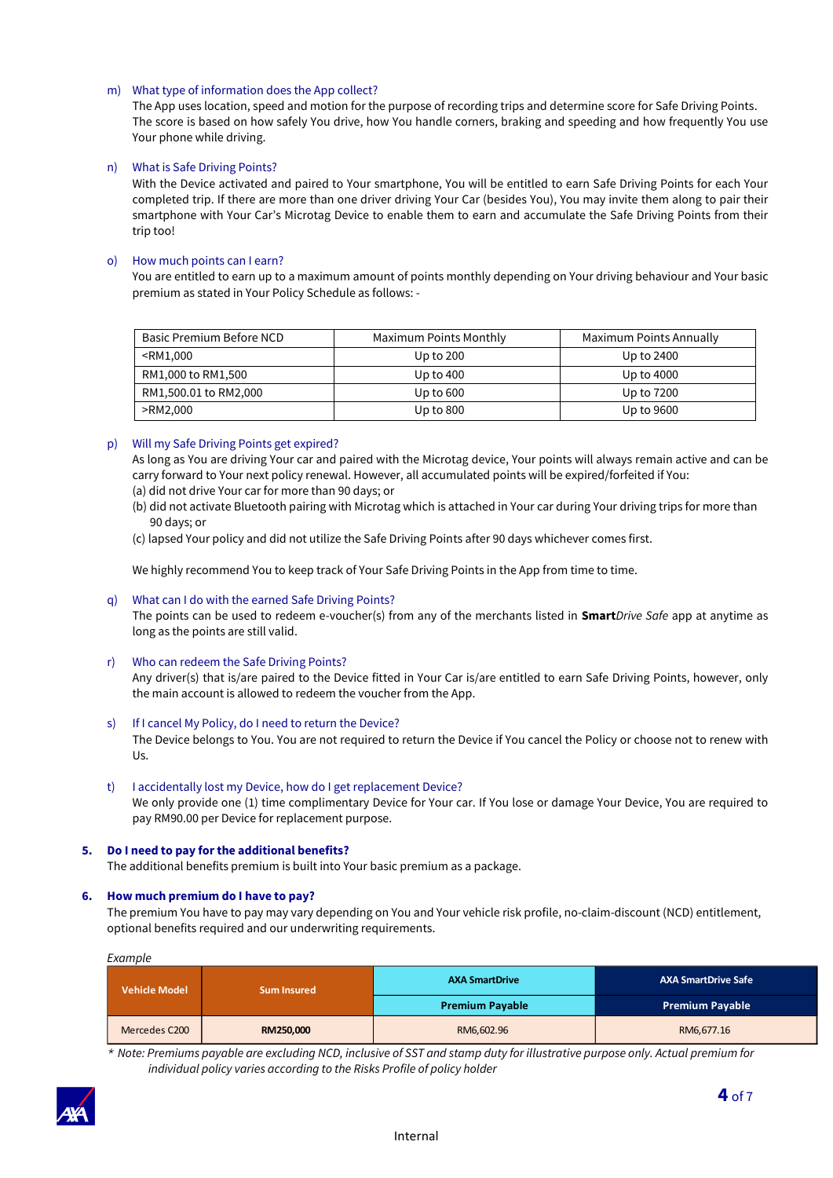# m) What type of information does the App collect?

The App uses location, speed and motion for the purpose of recording trips and determine score for Safe Driving Points. The score is based on how safely You drive, how You handle corners, braking and speeding and how frequently You use Your phone while driving.

# n) What is Safe Driving Points?

With the Device activated and paired to Your smartphone, You will be entitled to earn Safe Driving Points for each Your completed trip. If there are more than one driver driving Your Car (besides You), You may invite them along to pair their smartphone with Your Car's Microtag Device to enable them to earn and accumulate the Safe Driving Points from their trip too!

### o) How much points can I earn?

You are entitled to earn up to a maximum amount of points monthly depending on Your driving behaviour and Your basic premium as stated in Your Policy Schedule as follows: -

| <b>Basic Premium Before NCD</b>                                               | Maximum Points Monthly | Maximum Points Annually |
|-------------------------------------------------------------------------------|------------------------|-------------------------|
| <rm1,000< td=""><td>Up to <math>200</math></td><td>Up to 2400</td></rm1,000<> | Up to $200$            | Up to 2400              |
| RM1,000 to RM1,500                                                            | Up to 400              | Up to 4000              |
| RM1,500.01 to RM2,000                                                         | Up to $600$            | Up to 7200              |
| >RM2,000                                                                      | Up to $800$            | Up to 9600              |

#### p) Will my Safe Driving Points get expired?

As long as You are driving Your car and paired with the Microtag device, Your points will always remain active and can be carry forward to Your next policy renewal. However, all accumulated points will be expired/forfeited if You: (a) did not drive Your car for more than 90 days; or

- 
- (b) did not activate Bluetooth pairing with Microtag which is attached in Your car during Your driving trips for more than 90 days; or
- (c) lapsed Your policy and did not utilize the Safe Driving Points after 90 days whichever comes first.

We highly recommend You to keep track of Your Safe Driving Points in the App from time to time.

# q) What can I do with the earned Safe Driving Points?

The points can be used to redeem e-voucher(s) from any of the merchants listed in **Smart***Drive Safe* app at anytime as long as the points are still valid.

r) Who can redeem the Safe Driving Points?

Any driver(s) that is/are paired to the Device fitted in Your Car is/are entitled to earn Safe Driving Points, however, only the main account is allowed to redeem the voucher from the App.

#### s) If I cancel My Policy, do I need to return the Device?

The Device belongs to You. You are not required to return the Device if You cancel the Policy or choose not to renew with Us.

t) I accidentally lost my Device, how do I get replacement Device? We only provide one (1) time complimentary Device for Your car. If You lose or damage Your Device, You are required to pay RM90.00 per Device for replacement purpose.

#### **5. Do I need to pay for the additional benefits?**

The additional benefits premium is built into Your basic premium as a package.

#### **6. How much premium do I have to pay?**

The premium You have to pay may vary depending on You and Your vehicle risk profile, no-claim-discount (NCD) entitlement, optional benefits required and our underwriting requirements.

*Example* 

| <b>Vehicle Model</b> | <b>Sum Insured</b> | <b>AXA SmartDrive</b>  | <b>AXA SmartDrive Safe</b> |  |
|----------------------|--------------------|------------------------|----------------------------|--|
|                      |                    | <b>Premium Payable</b> | <b>Premium Payable</b>     |  |
| Mercedes C200        | RM250,000          | RM6,602.96             | RM6,677.16                 |  |

*\* Note: Premiums payable are excluding NCD, inclusive of SST and stamp duty for illustrative purpose only. Actual premium for individual policy varies according to the Risks Profile of policy holder*

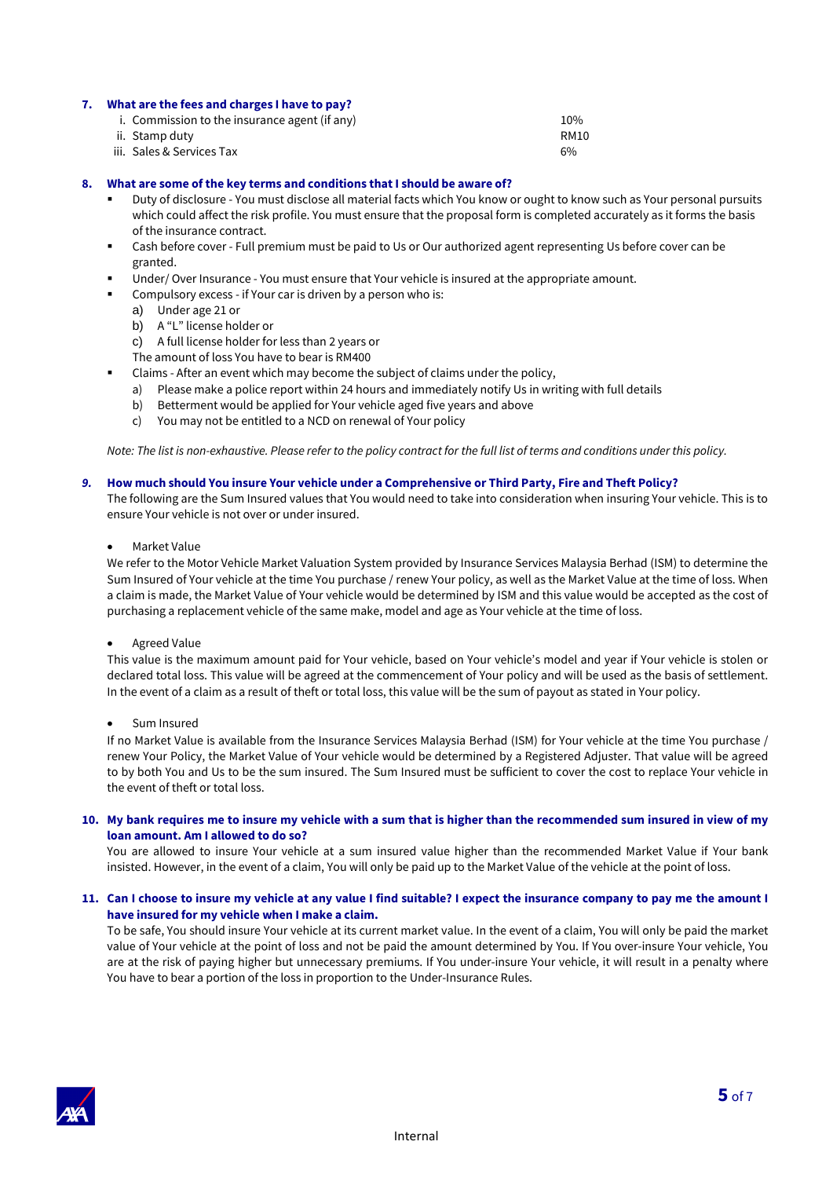#### **7. What are the fees and charges I have to pay?**

| i. Commission to the insurance agent (if any) | 10%         |
|-----------------------------------------------|-------------|
| ii. Stamp duty                                | <b>RM10</b> |
| iii. Sales & Services Tax                     | 6%          |

#### **8. What are some of the key terms and conditions that I should be aware of?**

- Duty of disclosure You must disclose all material facts which You know or ought to know such as Your personal pursuits which could affect the risk profile. You must ensure that the proposal form is completed accurately as it forms the basis of the insurance contract.
- Cash before cover Full premium must be paid to Us or Our authorized agent representing Us before cover can be granted.
- Under/ Over Insurance You must ensure that Your vehicle is insured at the appropriate amount.
- Compulsory excess if Your car is driven by a person who is:
	- a) Under age 21 or
	- b) A "L" license holder or
	- c) A full license holder for less than 2 years or
	- The amount of loss You have to bear is RM400
- Claims After an event which may become the subject of claims under the policy,
	- a) Please make a police report within 24 hours and immediately notify Us in writing with full details
	- b) Betterment would be applied for Your vehicle aged five years and above
	- c) You may not be entitled to a NCD on renewal of Your policy

*Note: The list is non-exhaustive. Please refer to the policy contract for the full list of terms and conditions under this policy.* 

#### *9.* **How much should You insure Your vehicle under a Comprehensive or Third Party, Fire and Theft Policy?**

The following are the Sum Insured values that You would need to take into consideration when insuring Your vehicle. This is to ensure Your vehicle is not over or under insured.

• Market Value

We refer to the Motor Vehicle Market Valuation System provided by Insurance Services Malaysia Berhad (ISM) to determine the Sum Insured of Your vehicle at the time You purchase / renew Your policy, as well as the Market Value at the time of loss. When a claim is made, the Market Value of Your vehicle would be determined by ISM and this value would be accepted as the cost of purchasing a replacement vehicle of the same make, model and age as Your vehicle at the time of loss.

#### • Agreed Value

This value is the maximum amount paid for Your vehicle, based on Your vehicle's model and year if Your vehicle is stolen or declared total loss. This value will be agreed at the commencement of Your policy and will be used as the basis of settlement. In the event of a claim as a result of theft or total loss, this value will be the sum of payout as stated in Your policy.

• Sum Insured

If no Market Value is available from the Insurance Services Malaysia Berhad (ISM) for Your vehicle at the time You purchase / renew Your Policy, the Market Value of Your vehicle would be determined by a Registered Adjuster. That value will be agreed to by both You and Us to be the sum insured. The Sum Insured must be sufficient to cover the cost to replace Your vehicle in the event of theft or total loss.

#### **10. My bank requires me to insure my vehicle with a sum that is higher than the recommended sum insured in view of my loan amount. Am I allowed to do so?**

You are allowed to insure Your vehicle at a sum insured value higher than the recommended Market Value if Your bank insisted. However, in the event of a claim, You will only be paid up to the Market Value of the vehicle at the point of loss.

#### **11. Can I choose to insure my vehicle at any value I find suitable? I expect the insurance company to pay me the amount I have insured for my vehicle when I make a claim.**

To be safe, You should insure Your vehicle at its current market value. In the event of a claim, You will only be paid the market value of Your vehicle at the point of loss and not be paid the amount determined by You. If You over-insure Your vehicle, You are at the risk of paying higher but unnecessary premiums. If You under-insure Your vehicle, it will result in a penalty where You have to bear a portion of the loss in proportion to the Under-Insurance Rules.

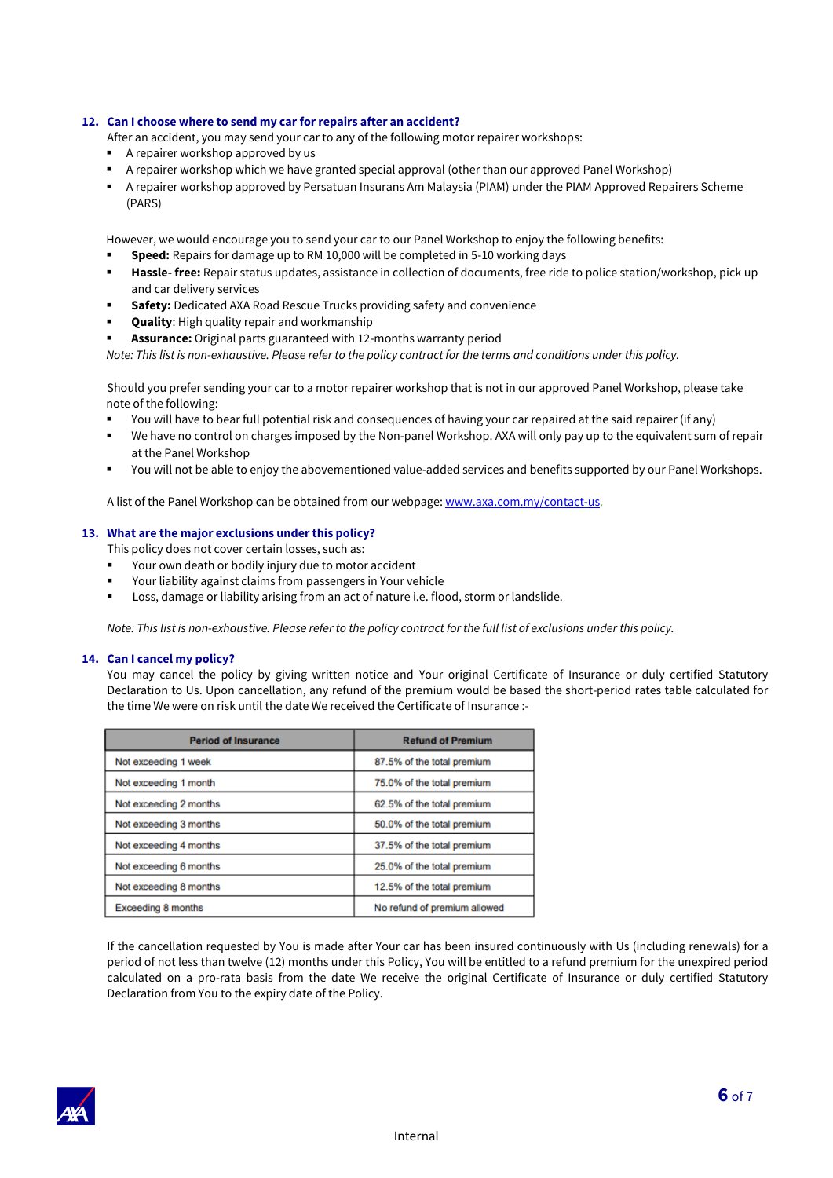# **12. Can I choose where to send my car for repairs after an accident?**

- After an accident, you may send your car to any of the following motor repairer workshops:
- A repairer workshop approved by us
- A repairer workshop which we have granted special approval (other than our approved Panel Workshop)
- A repairer workshop approved by Persatuan Insurans Am Malaysia (PIAM) under the PIAM Approved Repairers Scheme (PARS)

However, we would encourage you to send your car to our Panel Workshop to enjoy the following benefits:

- **Speed:** Repairs for damage up to RM 10,000 will be completed in 5-10 working days
- **Hassle- free:** Repair status updates, assistance in collection of documents, free ride to police station/workshop, pick up and car delivery services
- **Safety:** Dedicated AXA Road Rescue Trucks providing safety and convenience
- **Quality:** High quality repair and workmanship
- Assurance: Original parts guaranteed with 12-months warranty period

*Note: This list is non-exhaustive. Please refer to the policy contract for the terms and conditions under this policy.*

Should you prefer sending your car to a motor repairer workshop that is not in our approved Panel Workshop, please take note of the following:

- You will have to bear full potential risk and consequences of having your car repaired at the said repairer (if any)
- We have no control on charges imposed by the Non-panel Workshop. AXA will only pay up to the equivalent sum of repair at the Panel Workshop
- You will not be able to enjoy the abovementioned value-added services and benefits supported by our Panel Workshops.

A list of the Panel Workshop can be obtained from our webpage: [www.axa.com.my/contact-us.](http://www.axa.com.my/contact-us)

#### **13. What are the major exclusions under this policy?**

This policy does not cover certain losses, such as:

- Your own death or bodily injury due to motor accident
- Your liability against claims from passengers in Your vehicle
- Loss, damage or liability arising from an act of nature i.e. flood, storm or landslide.

*Note: This list is non-exhaustive. Please refer to the policy contract for the full list of exclusions under this policy.*

#### **14. Can I cancel my policy?**

You may cancel the policy by giving written notice and Your original Certificate of Insurance or duly certified Statutory Declaration to Us. Upon cancellation, any refund of the premium would be based the short-period rates table calculated for the time We were on risk until the date We received the Certificate of Insurance :-

| <b>Period of Insurance</b> | <b>Refund of Premium</b>     |  |
|----------------------------|------------------------------|--|
| Not exceeding 1 week       | 87.5% of the total premium   |  |
| Not exceeding 1 month      | 75.0% of the total premium   |  |
| Not exceeding 2 months     | 62.5% of the total premium   |  |
| Not exceeding 3 months     | 50.0% of the total premium   |  |
| Not exceeding 4 months     | 37.5% of the total premium   |  |
| Not exceeding 6 months     | 25.0% of the total premium   |  |
| Not exceeding 8 months     | 12.5% of the total premium   |  |
| <b>Exceeding 8 months</b>  | No refund of premium allowed |  |

If the cancellation requested by You is made after Your car has been insured continuously with Us (including renewals) for a period of not less than twelve (12) months under this Policy, You will be entitled to a refund premium for the unexpired period calculated on a pro-rata basis from the date We receive the original Certificate of Insurance or duly certified Statutory Declaration from You to the expiry date of the Policy.